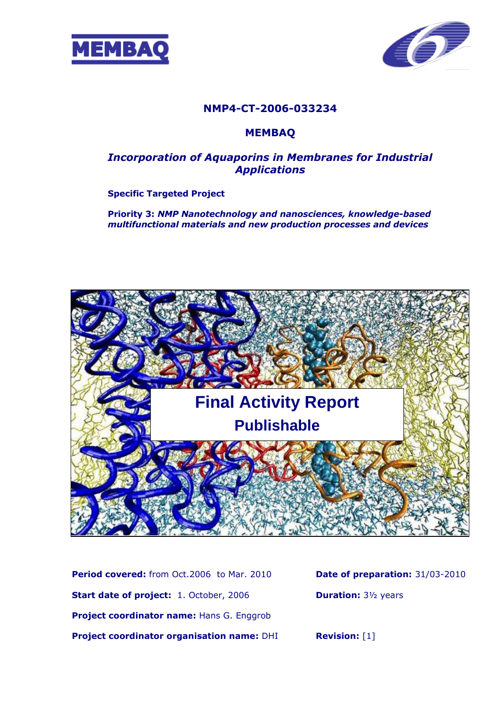



## **NMP4-CT-2006-033234**

### **MEMBAQ**

## *Incorporation of Aquaporins in Membranes for Industrial Applications*

#### **Specific Targeted Project**

**Priority 3:** *NMP Nanotechnology and nanosciences, knowledge-based multifunctional materials and new production processes and devices*



**Period covered:** from Oct.2006 to Mar. 2010 **Start date of project:** 1. October, 2006 **Project coordinator name:** Hans G. Enggrob **Project coordinator organisation name:** DHI **Date of preparation:** 31/03-2010 **Duration:** 3½ years

**Revision:** [1]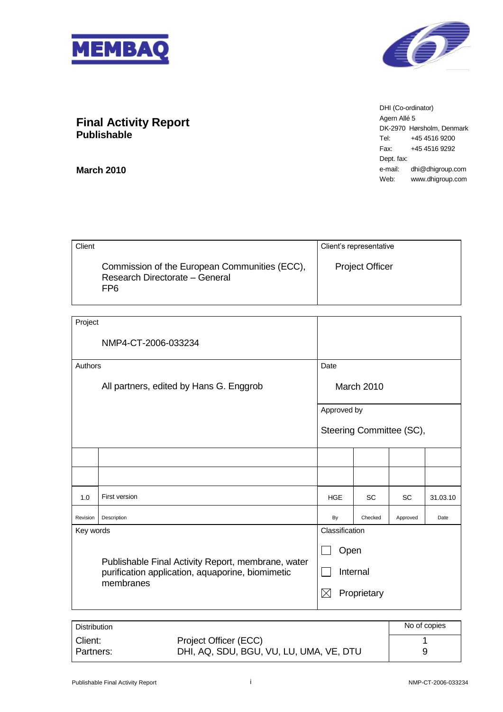



DHI (Co-ordinator) Agern Allé 5 DK-2970 Hørsholm, Denmark Tel: +45 4516 9200 Fax: +45 4516 9292 Dept. fax: e-mail: dhi@dhigroup.com Web: www.dhigroup.com

## **Final Activity Report Publishable**

**March 2010**

| Client                                                                                 | Client's representative |
|----------------------------------------------------------------------------------------|-------------------------|
| Commission of the European Communities (ECC),<br>Research Directorate - General<br>FP6 | <b>Project Officer</b>  |

| Project   |                                                                                                                     |                            |                   |                          |          |
|-----------|---------------------------------------------------------------------------------------------------------------------|----------------------------|-------------------|--------------------------|----------|
|           | NMP4-CT-2006-033234                                                                                                 |                            |                   |                          |          |
| Authors   |                                                                                                                     | Date                       |                   |                          |          |
|           | All partners, edited by Hans G. Enggrob                                                                             |                            | <b>March 2010</b> |                          |          |
|           |                                                                                                                     | Approved by                |                   |                          |          |
|           |                                                                                                                     |                            |                   | Steering Committee (SC), |          |
|           |                                                                                                                     |                            |                   |                          |          |
|           |                                                                                                                     |                            |                   |                          |          |
| 1.0       | First version                                                                                                       | <b>HGE</b>                 | SC                | <b>SC</b>                | 31.03.10 |
| Revision  | Description                                                                                                         | By                         | Checked           | Approved                 | Date     |
| Key words |                                                                                                                     | Classification             |                   |                          |          |
|           |                                                                                                                     | Open                       |                   |                          |          |
|           | Publishable Final Activity Report, membrane, water<br>purification application, aquaporine, biomimetic<br>membranes |                            | Internal          |                          |          |
|           |                                                                                                                     | $\boxtimes$<br>Proprietary |                   |                          |          |

| <b>Distribution</b> |                                         | No of copies |
|---------------------|-----------------------------------------|--------------|
| Client:             | Project Officer (ECC)                   |              |
| Partners:           | DHI, AQ, SDU, BGU, VU, LU, UMA, VE, DTU | 9            |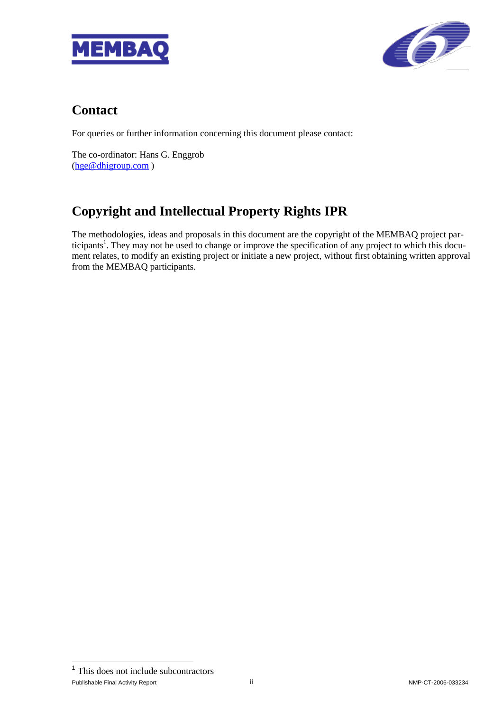



# **Contact**

For queries or further information concerning this document please contact:

The co-ordinator: Hans G. Enggrob [\(hge@dhigroup.com](mailto:hge@dhigroup.com) )

# **Copyright and Intellectual Property Rights IPR**

The methodologies, ideas and proposals in this document are the copyright of the MEMBAQ project participants<sup>1</sup>. They may not be used to change or improve the specification of any project to which this document relates, to modify an existing project or initiate a new project, without first obtaining written approval from the MEMBAQ participants.

Publishable Final Activity Report **in the contract of the CT-2006-033234** ii NMP-CT-2006-033234 1 <sup>1</sup> This does not include subcontractors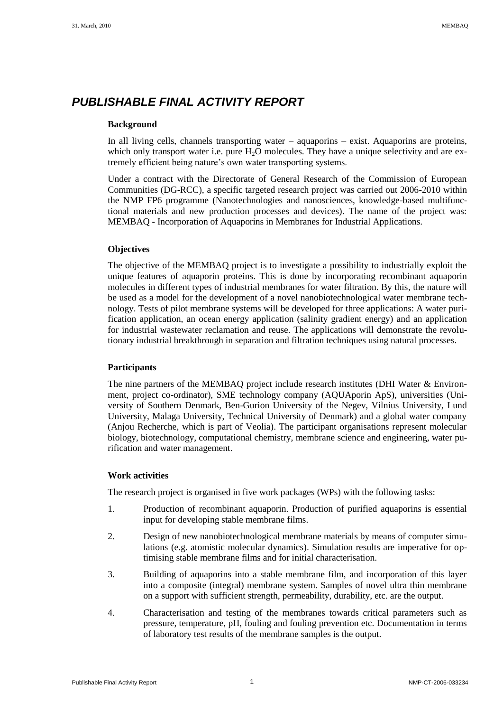## *PUBLISHABLE FINAL ACTIVITY REPORT*

#### **Background**

In all living cells, channels transporting water – aquaporins – exist. Aquaporins are proteins, which only transport water i.e. pure  $H_2O$  molecules. They have a unique selectivity and are extremely efficient being nature's own water transporting systems.

Under a contract with the Directorate of General Research of the Commission of European Communities (DG-RCC), a specific targeted research project was carried out 2006-2010 within the NMP FP6 programme (Nanotechnologies and nanosciences, knowledge-based multifunctional materials and new production processes and devices). The name of the project was: MEMBAQ - Incorporation of Aquaporins in Membranes for Industrial Applications.

#### **Objectives**

The objective of the MEMBAQ project is to investigate a possibility to industrially exploit the unique features of aquaporin proteins. This is done by incorporating recombinant aquaporin molecules in different types of industrial membranes for water filtration. By this, the nature will be used as a model for the development of a novel nanobiotechnological water membrane technology. Tests of pilot membrane systems will be developed for three applications: A water purification application, an ocean energy application (salinity gradient energy) and an application for industrial wastewater reclamation and reuse. The applications will demonstrate the revolutionary industrial breakthrough in separation and filtration techniques using natural processes.

#### **Participants**

The nine partners of the MEMBAQ project include research institutes (DHI Water & Environment, project co-ordinator), SME technology company (AQUAporin ApS), universities (University of Southern Denmark, Ben-Gurion University of the Negev, Vilnius University, Lund University, Malaga University, Technical University of Denmark) and a global water company (Anjou Recherche, which is part of Veolia). The participant organisations represent molecular biology, biotechnology, computational chemistry, membrane science and engineering, water purification and water management.

#### **Work activities**

The research project is organised in five work packages (WPs) with the following tasks:

- 1. Production of recombinant aquaporin. Production of purified aquaporins is essential input for developing stable membrane films.
- 2. Design of new nanobiotechnological membrane materials by means of computer simulations (e.g. atomistic molecular dynamics). Simulation results are imperative for optimising stable membrane films and for initial characterisation.
- 3. Building of aquaporins into a stable membrane film, and incorporation of this layer into a composite (integral) membrane system. Samples of novel ultra thin membrane on a support with sufficient strength, permeability, durability, etc. are the output.
- 4. Characterisation and testing of the membranes towards critical parameters such as pressure, temperature, pH, fouling and fouling prevention etc. Documentation in terms of laboratory test results of the membrane samples is the output.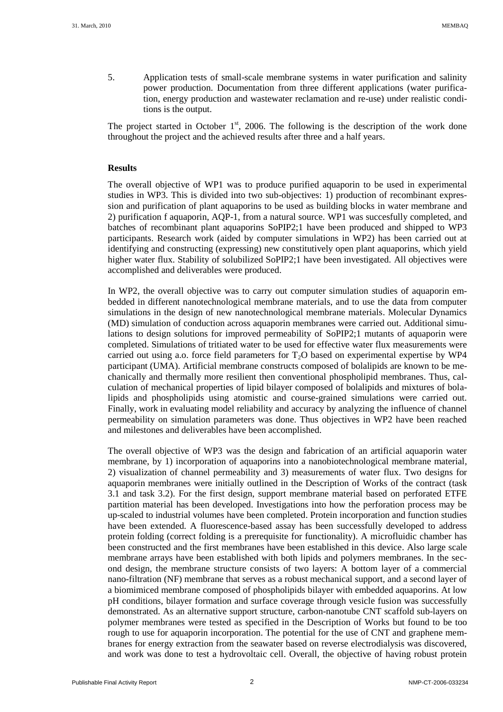5. Application tests of small-scale membrane systems in water purification and salinity power production. Documentation from three different applications (water purification, energy production and wastewater reclamation and re-use) under realistic conditions is the output.

The project started in October  $1<sup>st</sup>$ , 2006. The following is the description of the work done throughout the project and the achieved results after three and a half years.

#### **Results**

The overall objective of WP1 was to produce purified aquaporin to be used in experimental studies in WP3. This is divided into two sub-objectives: 1) production of recombinant expression and purification of plant aquaporins to be used as building blocks in water membrane and 2) purification f aquaporin, AQP-1, from a natural source. WP1 was succesfully completed, and batches of recombinant plant aquaporins SoPIP2;1 have been produced and shipped to WP3 participants. Research work (aided by computer simulations in WP2) has been carried out at identifying and constructing (expressing) new constitutively open plant aquaporins, which yield higher water flux. Stability of solubilized SoPIP2;1 have been investigated. All objectives were accomplished and deliverables were produced.

In WP2, the overall objective was to carry out computer simulation studies of aquaporin embedded in different nanotechnological membrane materials, and to use the data from computer simulations in the design of new nanotechnological membrane materials. Molecular Dynamics (MD) simulation of conduction across aquaporin membranes were carried out. Additional simulations to design solutions for improved permeability of SoPIP2;1 mutants of aquaporin were completed. Simulations of tritiated water to be used for effective water flux measurements were carried out using a.o. force field parameters for  $T_2O$  based on experimental expertise by WP4 participant (UMA). Artificial membrane constructs composed of bolalipids are known to be mechanically and thermally more resilient then conventional phospholipid membranes. Thus, calculation of mechanical properties of lipid bilayer composed of bolalipids and mixtures of bolalipids and phospholipids using atomistic and course-grained simulations were carried out. Finally, work in evaluating model reliability and accuracy by analyzing the influence of channel permeability on simulation parameters was done. Thus objectives in WP2 have been reached and milestones and deliverables have been accomplished.

The overall objective of WP3 was the design and fabrication of an artificial aquaporin water membrane, by 1) incorporation of aquaporins into a nanobiotechnological membrane material, 2) visualization of channel permeability and 3) measurements of water flux. Two designs for aquaporin membranes were initially outlined in the Description of Works of the contract (task 3.1 and task 3.2). For the first design, support membrane material based on perforated ETFE partition material has been developed. Investigations into how the perforation process may be up-scaled to industrial volumes have been completed. Protein incorporation and function studies have been extended. A fluorescence-based assay has been successfully developed to address protein folding (correct folding is a prerequisite for functionality). A microfluidic chamber has been constructed and the first membranes have been established in this device. Also large scale membrane arrays have been established with both lipids and polymers membranes. In the second design, the membrane structure consists of two layers: A bottom layer of a commercial nano-filtration (NF) membrane that serves as a robust mechanical support, and a second layer of a biomimiced membrane composed of phospholipids bilayer with embedded aquaporins. At low pH conditions, bilayer formation and surface coverage through vesicle fusion was successfully demonstrated. As an alternative support structure, carbon-nanotube CNT scaffold sub-layers on polymer membranes were tested as specified in the Description of Works but found to be too rough to use for aquaporin incorporation. The potential for the use of CNT and graphene membranes for energy extraction from the seawater based on reverse electrodialysis was discovered, and work was done to test a hydrovoltaic cell. Overall, the objective of having robust protein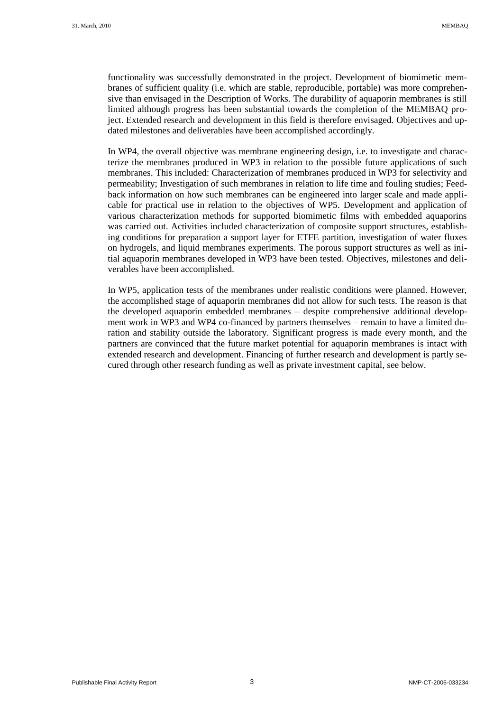functionality was successfully demonstrated in the project. Development of biomimetic membranes of sufficient quality (i.e. which are stable, reproducible, portable) was more comprehensive than envisaged in the Description of Works. The durability of aquaporin membranes is still limited although progress has been substantial towards the completion of the MEMBAQ project. Extended research and development in this field is therefore envisaged. Objectives and updated milestones and deliverables have been accomplished accordingly.

In WP4, the overall objective was membrane engineering design, i.e. to investigate and characterize the membranes produced in WP3 in relation to the possible future applications of such membranes. This included: Characterization of membranes produced in WP3 for selectivity and permeability; Investigation of such membranes in relation to life time and fouling studies; Feedback information on how such membranes can be engineered into larger scale and made applicable for practical use in relation to the objectives of WP5. Development and application of various characterization methods for supported biomimetic films with embedded aquaporins was carried out. Activities included characterization of composite support structures, establishing conditions for preparation a support layer for ETFE partition, investigation of water fluxes on hydrogels, and liquid membranes experiments. The porous support structures as well as initial aquaporin membranes developed in WP3 have been tested. Objectives, milestones and deliverables have been accomplished.

In WP5, application tests of the membranes under realistic conditions were planned. However, the accomplished stage of aquaporin membranes did not allow for such tests. The reason is that the developed aquaporin embedded membranes – despite comprehensive additional development work in WP3 and WP4 co-financed by partners themselves – remain to have a limited duration and stability outside the laboratory. Significant progress is made every month, and the partners are convinced that the future market potential for aquaporin membranes is intact with extended research and development. Financing of further research and development is partly secured through other research funding as well as private investment capital, see below.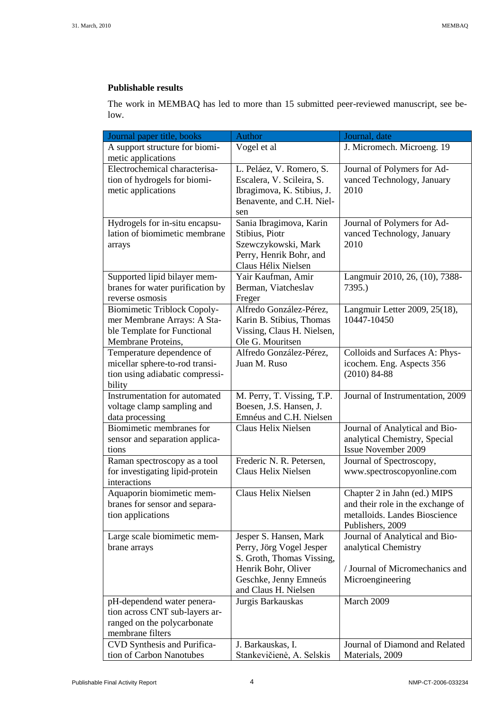#### **Publishable results**

The work in MEMBAQ has led to more than 15 submitted peer-reviewed manuscript, see below.

| Journal paper title, books                                       | <b>Author</b>                                   | Journal, date                            |
|------------------------------------------------------------------|-------------------------------------------------|------------------------------------------|
| A support structure for biomi-                                   | Vogel et al                                     | J. Micromech. Microeng. 19               |
| metic applications                                               |                                                 |                                          |
| Electrochemical characterisa-                                    | L. Peláez, V. Romero, S.                        | Journal of Polymers for Ad-              |
| tion of hydrogels for biomi-                                     | Escalera, V. Scileira, S.                       | vanced Technology, January               |
| metic applications                                               | Ibragimova, K. Stibius, J.                      | 2010                                     |
|                                                                  | Benavente, and C.H. Niel-                       |                                          |
|                                                                  | sen                                             |                                          |
| Hydrogels for in-situ encapsu-                                   | Sania Ibragimova, Karin                         | Journal of Polymers for Ad-              |
| lation of biomimetic membrane                                    | Stibius, Piotr                                  | vanced Technology, January               |
| arrays                                                           | Szewczykowski, Mark                             | 2010                                     |
|                                                                  | Perry, Henrik Bohr, and                         |                                          |
|                                                                  | Claus Hélix Nielsen<br>Yair Kaufman, Amir       |                                          |
| Supported lipid bilayer mem-<br>branes for water purification by | Berman, Viatcheslav                             | Langmuir 2010, 26, (10), 7388-<br>7395.) |
| reverse osmosis                                                  | Freger                                          |                                          |
| <b>Biomimetic Triblock Copoly-</b>                               | Alfredo González-Pérez,                         | Langmuir Letter 2009, 25(18),            |
| mer Membrane Arrays: A Sta-                                      | Karin B. Stibius, Thomas                        | 10447-10450                              |
| ble Template for Functional                                      | Vissing, Claus H. Nielsen,                      |                                          |
| Membrane Proteins,                                               | Ole G. Mouritsen                                |                                          |
| Temperature dependence of                                        | Alfredo González-Pérez,                         | Colloids and Surfaces A: Phys-           |
| micellar sphere-to-rod transi-                                   | Juan M. Ruso                                    | icochem. Eng. Aspects 356                |
| tion using adiabatic compressi-                                  |                                                 | $(2010) 84-88$                           |
| bility                                                           |                                                 |                                          |
| Instrumentation for automated                                    | M. Perry, T. Vissing, T.P.                      | Journal of Instrumentation, 2009         |
| voltage clamp sampling and                                       | Boesen, J.S. Hansen, J.                         |                                          |
| data processing                                                  | Emnéus and C.H. Nielsen                         |                                          |
| Biomimetic membranes for                                         | Claus Helix Nielsen                             | Journal of Analytical and Bio-           |
| sensor and separation applica-                                   |                                                 | analytical Chemistry, Special            |
| tions                                                            |                                                 | <b>Issue November 2009</b>               |
| Raman spectroscopy as a tool                                     | Frederic N. R. Petersen,<br>Claus Helix Nielsen | Journal of Spectroscopy,                 |
| for investigating lipid-protein<br>interactions                  |                                                 | www.spectroscopyonline.com               |
| Aquaporin biomimetic mem-                                        | Claus Helix Nielsen                             | Chapter 2 in Jahn (ed.) MIPS             |
| branes for sensor and separa-                                    |                                                 | and their role in the exchange of        |
| tion applications                                                |                                                 | metalloids. Landes Bioscience            |
|                                                                  |                                                 | Publishers, 2009                         |
| Large scale biomimetic mem-                                      | Jesper S. Hansen, Mark                          | Journal of Analytical and Bio-           |
| brane arrays                                                     | Perry, Jörg Vogel Jesper                        | analytical Chemistry                     |
|                                                                  | S. Groth, Thomas Vissing,                       |                                          |
|                                                                  | Henrik Bohr, Oliver                             | / Journal of Micromechanics and          |
|                                                                  | Geschke, Jenny Emneús                           | Microengineering                         |
|                                                                  | and Claus H. Nielsen                            |                                          |
| pH-dependend water penera-                                       | Jurgis Barkauskas                               | March 2009                               |
| tion across CNT sub-layers ar-                                   |                                                 |                                          |
| ranged on the polycarbonate                                      |                                                 |                                          |
| membrane filters                                                 |                                                 |                                          |
| CVD Synthesis and Purifica-                                      | J. Barkauskas, I.                               | Journal of Diamond and Related           |
| tion of Carbon Nanotubes                                         | Stankevičienė, A. Selskis                       | Materials, 2009                          |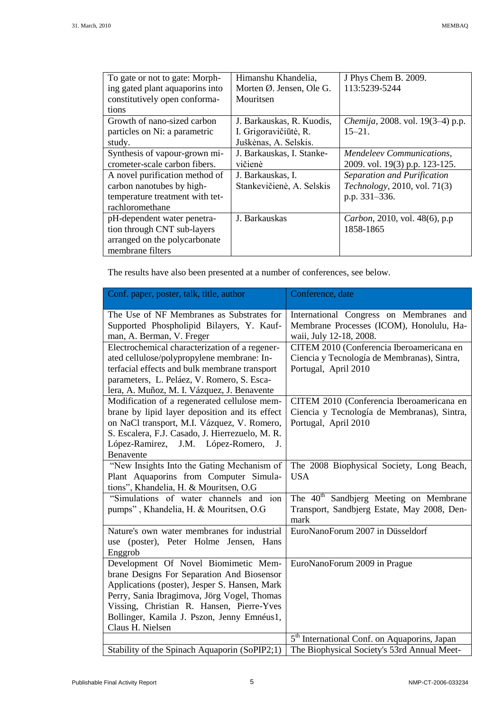| To gate or not to gate: Morph-  | Himanshu Khandelia,                 | J Phys Chem B. 2009.                     |
|---------------------------------|-------------------------------------|------------------------------------------|
| ing gated plant aquaporins into | Morten $\emptyset$ . Jensen, Ole G. | 113:5239-5244                            |
| constitutively open conforma-   | Mouritsen                           |                                          |
| tions                           |                                     |                                          |
| Growth of nano-sized carbon     | J. Barkauskas, R. Kuodis,           | <i>Chemija</i> , 2008. vol. 19(3–4) p.p. |
| particles on Ni: a parametric   | I. Grigoravičiūtė, R.               | $15 - 21$ .                              |
| study.                          | Juškėnas, A. Selskis.               |                                          |
| Synthesis of vapour-grown mi-   | J. Barkauskas, I. Stanke-           | Mendeleev Communications,                |
| crometer-scale carbon fibers.   | vičienė                             | 2009. vol. 19(3) p.p. 123-125.           |
| A novel purification method of  | J. Barkauskas, I.                   | Separation and Purification              |
| carbon nanotubes by high-       | Stankevičienė, A. Selskis           | Technology, 2010, vol. 71(3)             |
| temperature treatment with tet- |                                     | p.p. 331-336.                            |
| rachloromethane                 |                                     |                                          |
| pH-dependent water penetra-     | J. Barkauskas                       | Carbon, 2010, vol. 48(6), p.p.           |
| tion through CNT sub-layers     |                                     | 1858-1865                                |
| arranged on the polycarbonate   |                                     |                                          |
| membrane filters                |                                     |                                          |

The results have also been presented at a number of conferences, see below.

| Conf. paper, poster, talk, title, author                                                                                                                                                                                                                                                          | Conference, date                                                                                                 |
|---------------------------------------------------------------------------------------------------------------------------------------------------------------------------------------------------------------------------------------------------------------------------------------------------|------------------------------------------------------------------------------------------------------------------|
| The Use of NF Membranes as Substrates for<br>Supported Phospholipid Bilayers, Y. Kauf-<br>man, A. Berman, V. Freger                                                                                                                                                                               | International Congress on Membranes and<br>Membrane Processes (ICOM), Honolulu, Ha-<br>waii, July 12-18, 2008.   |
| Electrochemical characterization of a regener-<br>ated cellulose/polypropylene membrane: In-<br>terfacial effects and bulk membrane transport<br>parameters, L. Peláez, V. Romero, S. Esca-<br>lera, A. Muñoz, M. I. Vázquez, J. Benavente                                                        | CITEM 2010 (Conferencia Iberoamericana en<br>Ciencia y Tecnología de Membranas), Sintra,<br>Portugal, April 2010 |
| Modification of a regenerated cellulose mem-<br>brane by lipid layer deposition and its effect<br>on NaCl transport, M.I. Vázquez, V. Romero,<br>S. Escalera, F.J. Casado, J. Hierrezuelo, M. R.<br>López-Ramirez, J.M. López-Romero,<br>J <sub>r</sub><br>Benavente                              | CITEM 2010 (Conferencia Iberoamericana en<br>Ciencia y Tecnología de Membranas), Sintra,<br>Portugal, April 2010 |
| "New Insights Into the Gating Mechanism of<br>Plant Aquaporins from Computer Simula-<br>tions", Khandelia, H. & Mouritsen, O.G                                                                                                                                                                    | The 2008 Biophysical Society, Long Beach,<br><b>USA</b>                                                          |
| "Simulations of water channels and ion<br>pumps", Khandelia, H. & Mouritsen, O.G.                                                                                                                                                                                                                 | The 40 <sup>th</sup> Sandbjerg Meeting on Membrane<br>Transport, Sandbjerg Estate, May 2008, Den-<br>mark        |
| Nature's own water membranes for industrial<br>use (poster), Peter Holme Jensen, Hans<br>Enggrob                                                                                                                                                                                                  | EuroNanoForum 2007 in Düsseldorf                                                                                 |
| Development Of Novel Biomimetic Mem-<br>brane Designs For Separation And Biosensor<br>Applications (poster), Jesper S. Hansen, Mark<br>Perry, Sania Ibragimova, Jörg Vogel, Thomas<br>Vissing, Christian R. Hansen, Pierre-Yves<br>Bollinger, Kamila J. Pszon, Jenny Emnéus1,<br>Claus H. Nielsen | EuroNanoForum 2009 in Prague                                                                                     |
|                                                                                                                                                                                                                                                                                                   | 5 <sup>th</sup> International Conf. on Aquaporins, Japan                                                         |
| Stability of the Spinach Aquaporin (SoPIP2;1)                                                                                                                                                                                                                                                     | The Biophysical Society's 53rd Annual Meet-                                                                      |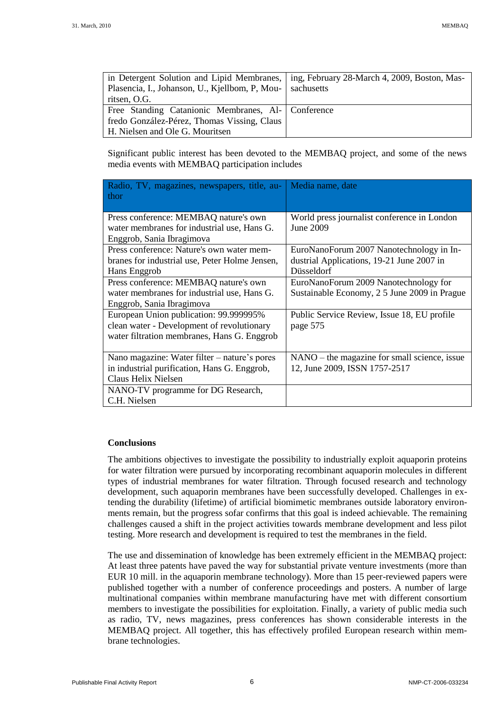| in Detergent Solution and Lipid Membranes,           | ing, February 28-March 4, 2009, Boston, Mas- |
|------------------------------------------------------|----------------------------------------------|
| Plasencia, I., Johanson, U., Kjellbom, P, Mou-       | sachusetts                                   |
| ritsen, O.G.                                         |                                              |
| Free Standing Catanionic Membranes, Al-   Conference |                                              |
| fredo González-Pérez, Thomas Vissing, Claus          |                                              |
| H. Nielsen and Ole G. Mouritsen                      |                                              |

Significant public interest has been devoted to the MEMBAQ project, and some of the news media events with MEMBAQ participation includes

| Radio, TV, magazines, newspapers, title, au-<br>thor                     | Media name, date                               |
|--------------------------------------------------------------------------|------------------------------------------------|
| Press conference: MEMBAQ nature's own                                    | World press journalist conference in London    |
| water membranes for industrial use, Hans G.<br>Enggrob, Sania Ibragimova | June 2009                                      |
| Press conference: Nature's own water mem-                                | EuroNanoForum 2007 Nanotechnology in In-       |
| branes for industrial use, Peter Holme Jensen,                           | dustrial Applications, 19-21 June 2007 in      |
| Hans Enggrob                                                             | Düsseldorf                                     |
| Press conference: MEMBAQ nature's own                                    | EuroNanoForum 2009 Nanotechnology for          |
| water membranes for industrial use, Hans G.                              | Sustainable Economy, 2 5 June 2009 in Prague   |
| Enggrob, Sania Ibragimova                                                |                                                |
| European Union publication: 99.999995%                                   | Public Service Review, Issue 18, EU profile    |
| clean water - Development of revolutionary                               | page 575                                       |
| water filtration membranes, Hans G. Enggrob                              |                                                |
| Nano magazine: Water filter – nature's pores                             | $NANO - the magazine for small science, issue$ |
| in industrial purification, Hans G. Enggrob,                             | 12, June 2009, ISSN 1757-2517                  |
| Claus Helix Nielsen                                                      |                                                |
| NANO-TV programme for DG Research,                                       |                                                |
| C.H. Nielsen                                                             |                                                |

#### **Conclusions**

The ambitions objectives to investigate the possibility to industrially exploit aquaporin proteins for water filtration were pursued by incorporating recombinant aquaporin molecules in different types of industrial membranes for water filtration. Through focused research and technology development, such aquaporin membranes have been successfully developed. Challenges in extending the durability (lifetime) of artificial biomimetic membranes outside laboratory environments remain, but the progress sofar confirms that this goal is indeed achievable. The remaining challenges caused a shift in the project activities towards membrane development and less pilot testing. More research and development is required to test the membranes in the field.

The use and dissemination of knowledge has been extremely efficient in the MEMBAQ project: At least three patents have paved the way for substantial private venture investments (more than EUR 10 mill. in the aquaporin membrane technology). More than 15 peer-reviewed papers were published together with a number of conference proceedings and posters. A number of large multinational companies within membrane manufacturing have met with different consortium members to investigate the possibilities for exploitation. Finally, a variety of public media such as radio, TV, news magazines, press conferences has shown considerable interests in the MEMBAQ project. All together, this has effectively profiled European research within membrane technologies.